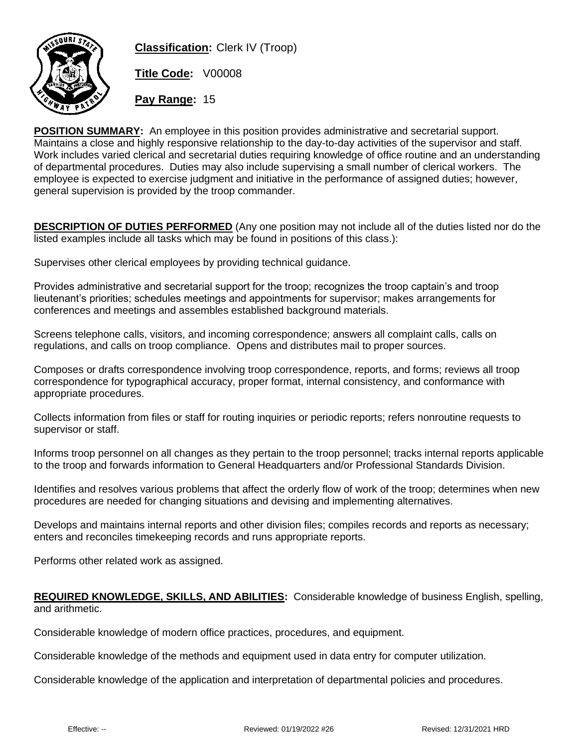

**Classification:** Clerk IV (Troop)

**Title Code:** V00008

**Pay Range:** 15

**POSITION SUMMARY:** An employee in this position provides administrative and secretarial support. Maintains a close and highly responsive relationship to the day-to-day activities of the supervisor and staff. Work includes varied clerical and secretarial duties requiring knowledge of office routine and an understanding of departmental procedures. Duties may also include supervising a small number of clerical workers. The employee is expected to exercise judgment and initiative in the performance of assigned duties; however, general supervision is provided by the troop commander.

**DESCRIPTION OF DUTIES PERFORMED** (Any one position may not include all of the duties listed nor do the listed examples include all tasks which may be found in positions of this class.):

Supervises other clerical employees by providing technical guidance.

Provides administrative and secretarial support for the troop; recognizes the troop captain's and troop lieutenant's priorities; schedules meetings and appointments for supervisor; makes arrangements for conferences and meetings and assembles established background materials.

Screens telephone calls, visitors, and incoming correspondence; answers all complaint calls, calls on regulations, and calls on troop compliance. Opens and distributes mail to proper sources.

Composes or drafts correspondence involving troop correspondence, reports, and forms; reviews all troop correspondence for typographical accuracy, proper format, internal consistency, and conformance with appropriate procedures.

Collects information from files or staff for routing inquiries or periodic reports; refers nonroutine requests to supervisor or staff.

Informs troop personnel on all changes as they pertain to the troop personnel; tracks internal reports applicable to the troop and forwards information to General Headquarters and/or Professional Standards Division.

Identifies and resolves various problems that affect the orderly flow of work of the troop; determines when new procedures are needed for changing situations and devising and implementing alternatives.

Develops and maintains internal reports and other division files; compiles records and reports as necessary; enters and reconciles timekeeping records and runs appropriate reports.

Performs other related work as assigned.

## **REQUIRED KNOWLEDGE, SKILLS, AND ABILITIES:** Considerable knowledge of business English, spelling, and arithmetic.

Considerable knowledge of modern office practices, procedures, and equipment.

Considerable knowledge of the methods and equipment used in data entry for computer utilization.

Considerable knowledge of the application and interpretation of departmental policies and procedures.